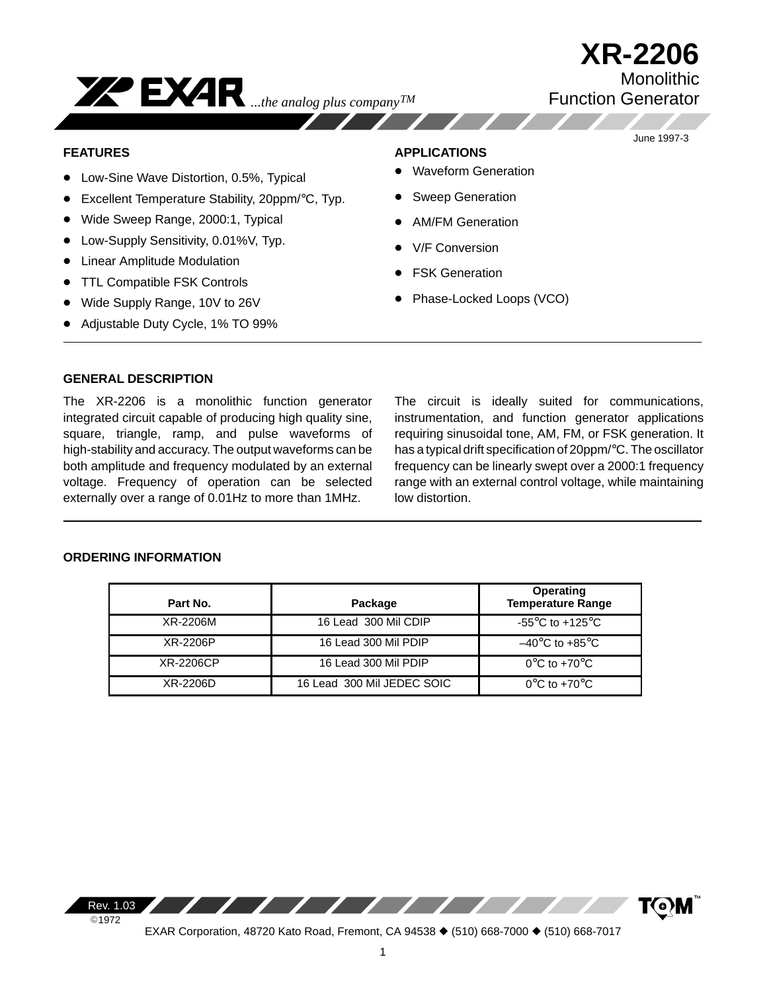

June 1997-3

#### **FEATURES**

- Low-Sine Wave Distortion, 0.5%, Typical
- Excellent Temperature Stability, 20ppm/°C, Typ.

*...the analog plus companyTM*

- Wide Sweep Range, 2000:1, Typical
- **•** Low-Supply Sensitivity, 0.01%V, Typ.
- Linear Amplitude Modulation
- TTL Compatible FSK Controls
- Wide Supply Range, 10V to 26V
- Adjustable Duty Cycle, 1% TO 99%

#### **APPLICATIONS**

- Waveform Generation
- Sweep Generation
- AM/FM Generation
- V/F Conversion
- FSK Generation
- Phase-Locked Loops (VCO)

### **GENERAL DESCRIPTION**

The XR-2206 is a monolithic function generator integrated circuit capable of producing high quality sine, square, triangle, ramp, and pulse waveforms of high-stability and accuracy. The output waveforms can be both amplitude and frequency modulated by an external voltage. Frequency of operation can be selected externally over a range of 0.01Hz to more than 1MHz.

The circuit is ideally suited for communications, instrumentation, and function generator applications requiring sinusoidal tone, AM, FM, or FSK generation. It has a typical drift specification of 20ppm/°C. The oscillator frequency can be linearly swept over a 2000:1 frequency range with an external control voltage, while maintaining low distortion.

## **ORDERING INFORMATION**

| Part No.         | Package                    | <b>Operating</b><br><b>Temperature Range</b> |
|------------------|----------------------------|----------------------------------------------|
| XR-2206M         | 16 Lead 300 Mil CDIP       | -55 $^{\circ}$ C to +125 $^{\circ}$ C        |
| XR-2206P         | 16 Lead 300 Mil PDIP       | $-40^{\circ}$ C to $+85^{\circ}$ C           |
| <b>XR-2206CP</b> | 16 Lead 300 Mil PDIP       | $0^{\circ}$ C to +70 $^{\circ}$ C            |
| XR-2206D         | 16 Lead 300 Mil JEDEC SOIC | $0^{\circ}$ C to +70 $^{\circ}$ C            |

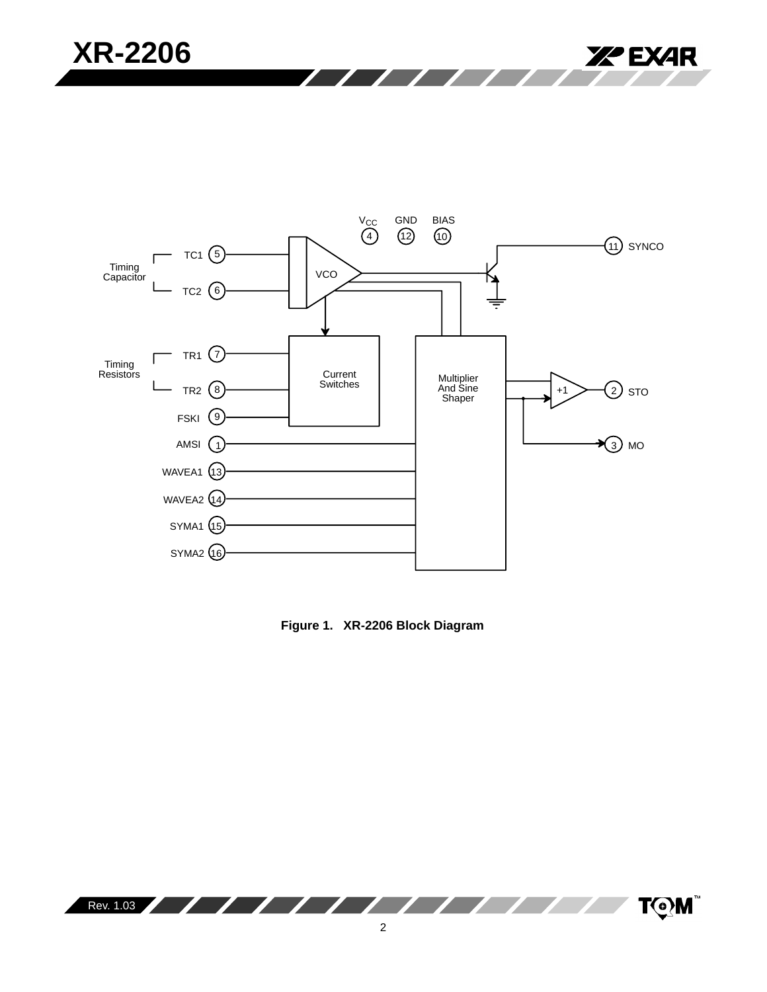



**Figure 1. XR-2206 Block Diagram**

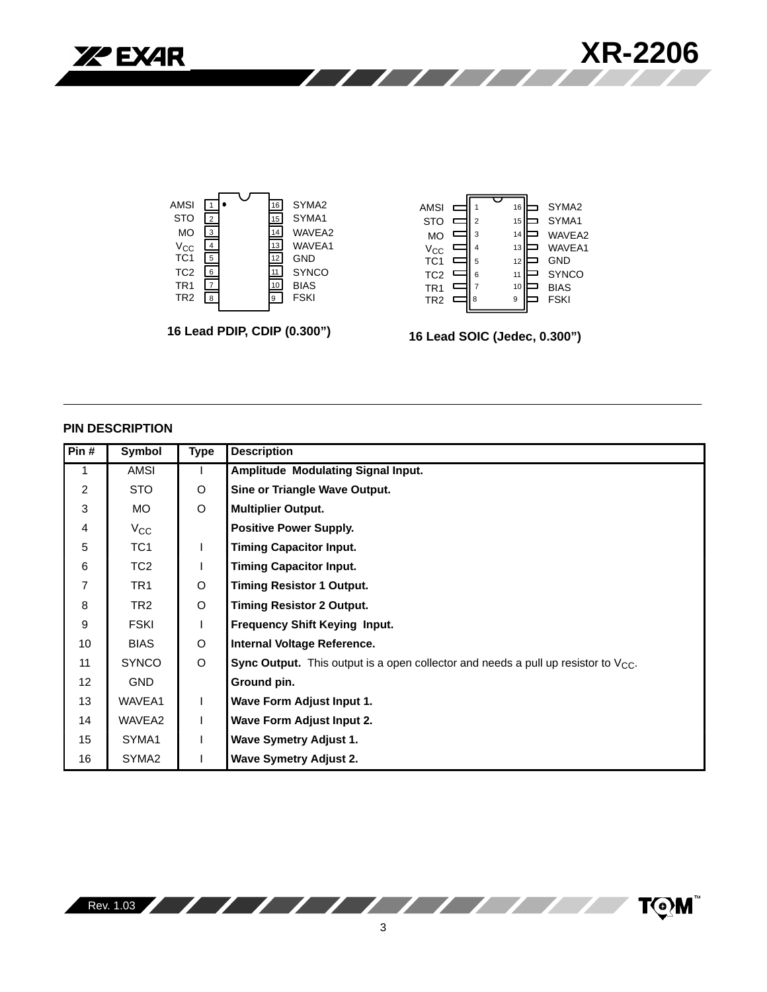



#### **PIN DESCRIPTION**

| Pin#             | Symbol            | <b>Type</b>  | <b>Description</b>                                                                             |
|------------------|-------------------|--------------|------------------------------------------------------------------------------------------------|
| $\mathbf{1}$     | AMSI              |              | Amplitude Modulating Signal Input.                                                             |
| $\overline{2}$   | STO               | O            | Sine or Triangle Wave Output.                                                                  |
| 3                | MO.               | $\circ$      | <b>Multiplier Output.</b>                                                                      |
| 4                | $V_{\rm CC}$      |              | <b>Positive Power Supply.</b>                                                                  |
| 5                | TC <sub>1</sub>   | $\mathsf{L}$ | <b>Timing Capacitor Input.</b>                                                                 |
| 6                | TC <sub>2</sub>   |              | <b>Timing Capacitor Input.</b>                                                                 |
| 7                | TR <sub>1</sub>   | $\circ$      | <b>Timing Resistor 1 Output.</b>                                                               |
| 8                | TR <sub>2</sub>   | $\circ$      | <b>Timing Resistor 2 Output.</b>                                                               |
| 9                | <b>FSKI</b>       |              | <b>Frequency Shift Keying Input.</b>                                                           |
| 10               | <b>BIAS</b>       | O            | Internal Voltage Reference.                                                                    |
| 11               | <b>SYNCO</b>      | O            | <b>Sync Output.</b> This output is a open collector and needs a pull up resistor to $V_{CC}$ . |
| 12               | <b>GND</b>        |              | Ground pin.                                                                                    |
| 13               | WAVEA1            | L            | Wave Form Adjust Input 1.                                                                      |
| 14               | WAVEA2            |              | Wave Form Adjust Input 2.                                                                      |
| 15 <sup>15</sup> | SYMA1             |              | <b>Wave Symetry Adjust 1.</b>                                                                  |
| 16               | SYMA <sub>2</sub> |              | <b>Wave Symetry Adjust 2.</b>                                                                  |

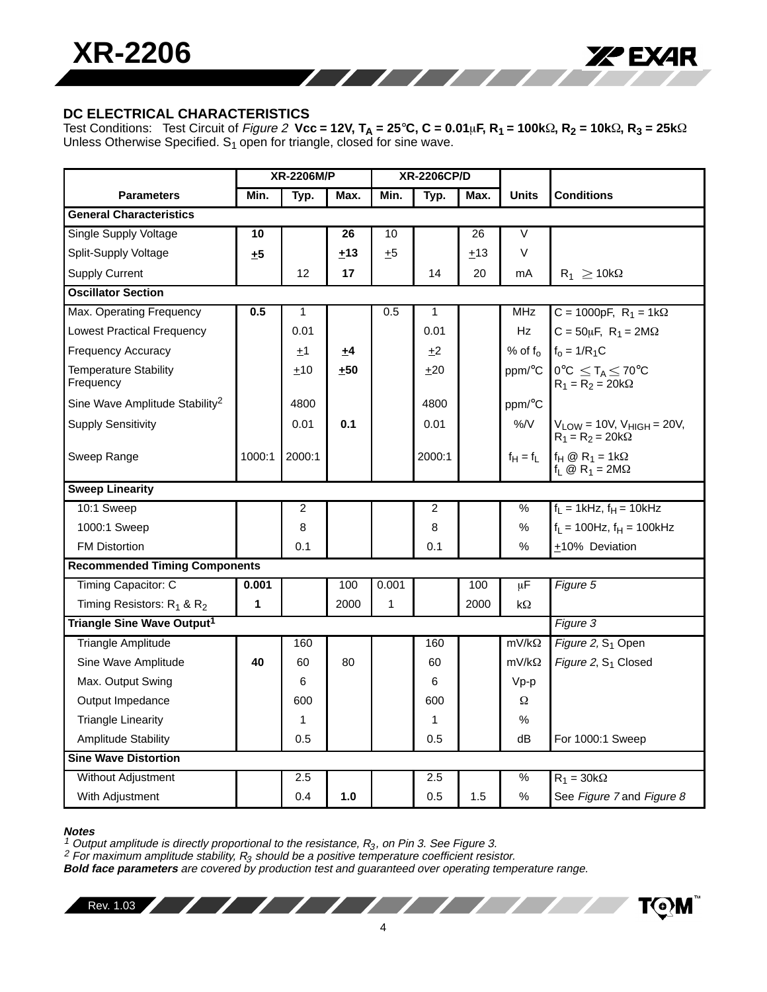

## **DC ELECTRICAL CHARACTERISTICS**

Test Conditions:  $\;$  Test Circuit of *Figure 2*  $\;$  **Vcc = 12V, T<sub>A</sub> = 25°C, C = 0.01** $\mu$ **F, R<sub>1</sub> = 100k** $\Omega$ **, R<sub>2</sub> = 10k** $\Omega$ **, R<sub>3</sub> = 25k** $\Omega$ Unless Otherwise Specified.  $S_1$  open for triangle, closed for sine wave.

77777

|                                            | XR-2206M/P<br><b>XR-2206CP/D</b> |        |       |              |        |      |              |                                                                   |
|--------------------------------------------|----------------------------------|--------|-------|--------------|--------|------|--------------|-------------------------------------------------------------------|
| <b>Parameters</b>                          | Min.                             | Typ.   | Max.  | Min.         | Typ.   | Max. | <b>Units</b> | <b>Conditions</b>                                                 |
| <b>General Characteristics</b>             |                                  |        |       |              |        |      |              |                                                                   |
| Single Supply Voltage                      | 10                               |        | 26    | 10           |        | 26   | V            |                                                                   |
| Split-Supply Voltage                       | ±5                               |        | ±13   | ±5           |        | ±13  | V            |                                                                   |
| <b>Supply Current</b>                      |                                  | 12     | 17    |              | 14     | 20   | mA           | $R_1 \geq 10k\Omega$                                              |
| <b>Oscillator Section</b>                  |                                  |        |       |              |        |      |              |                                                                   |
| Max. Operating Frequency                   | 0.5                              | 1      |       | 0.5          | 1      |      | <b>MHz</b>   | C = 1000pF, $R_1 = 1k\Omega$                                      |
| <b>Lowest Practical Frequency</b>          |                                  | 0.01   |       |              | 0.01   |      | Hz           | $C = 50\mu F$ , $R_1 = 2M\Omega$                                  |
| Frequency Accuracy                         |                                  | ±1     | ±4    |              | $+2$   |      | % of $f_0$   | $f_0 = 1/R_1C$                                                    |
| <b>Temperature Stability</b><br>Frequency  |                                  | $+10$  | $+50$ |              | $+20$  |      | ppm/°C       | $0^{\circ}C \leq T_A \leq 70^{\circ}C$<br>$R_1 = R_2 = 20k\Omega$ |
| Sine Wave Amplitude Stability <sup>2</sup> |                                  | 4800   |       |              | 4800   |      | ppm/°C       |                                                                   |
| <b>Supply Sensitivity</b>                  |                                  | 0.01   | 0.1   |              | 0.01   |      | $\%$ /V      | $V_{LOW} = 10V$ , $V_{HIGH} = 20V$ ,<br>$R_1 = R_2 = 20k\Omega$   |
| Sweep Range                                | 1000:1                           | 2000:1 |       |              | 2000:1 |      | $f_H = f_L$  | $f_H \otimes R_1 = 1k\Omega$<br>$f_L \otimes R_1 = 2M\Omega$      |
| <b>Sweep Linearity</b>                     |                                  |        |       |              |        |      |              |                                                                   |
| 10:1 Sweep                                 |                                  | 2      |       |              | 2      |      | $\%$         | $f_L = 1$ kHz, $f_H = 10$ kHz                                     |
| 1000:1 Sweep                               |                                  | 8      |       |              | 8      |      | $\%$         | $f_L$ = 100Hz, $f_H$ = 100kHz                                     |
| <b>FM Distortion</b>                       |                                  | 0.1    |       |              | 0.1    |      | $\%$         | +10% Deviation                                                    |
| <b>Recommended Timing Components</b>       |                                  |        |       |              |        |      |              |                                                                   |
| Timing Capacitor: C                        | 0.001                            |        | 100   | 0.001        |        | 100  | μF           | Figure 5                                                          |
| Timing Resistors: $R_1$ & $R_2$            | 1                                |        | 2000  | $\mathbf{1}$ |        | 2000 | $k\Omega$    |                                                                   |
| Triangle Sine Wave Output <sup>1</sup>     |                                  |        |       |              |        |      |              | Figure 3                                                          |
| <b>Triangle Amplitude</b>                  |                                  | 160    |       |              | 160    |      | $mV/k\Omega$ | Figure 2, S <sub>1</sub> Open                                     |
| Sine Wave Amplitude                        | 40                               | 60     | 80    |              | 60     |      | $mV/k\Omega$ | Figure 2, S <sub>1</sub> Closed                                   |
| Max. Output Swing                          |                                  | 6      |       |              | 6      |      | Vp-p         |                                                                   |
| Output Impedance                           |                                  | 600    |       |              | 600    |      | Ω            |                                                                   |
| <b>Triangle Linearity</b>                  |                                  | 1      |       |              | 1      |      | $\%$         |                                                                   |
| Amplitude Stability                        |                                  | 0.5    |       |              | 0.5    |      | dB           | For 1000:1 Sweep                                                  |
| <b>Sine Wave Distortion</b>                |                                  |        |       |              |        |      |              |                                                                   |
| Without Adjustment                         |                                  | 2.5    |       |              | 2.5    |      | $\%$         | $R_1 = 30k\Omega$                                                 |
| With Adjustment                            |                                  | 0.4    | 1.0   |              | 0.5    | 1.5  | %            | See Figure 7 and Figure 8                                         |

#### **Notes**

<sup>1</sup> Output amplitude is directly proportional to the resistance,  $R_3$ , on Pin 3. See Figure 3.

<sup>2</sup> For maximum amplitude stability,  $R_3$  should be a positive temperature coefficient resistor.

**Bold face parameters** are covered by production test and guaranteed over operating temperature range.

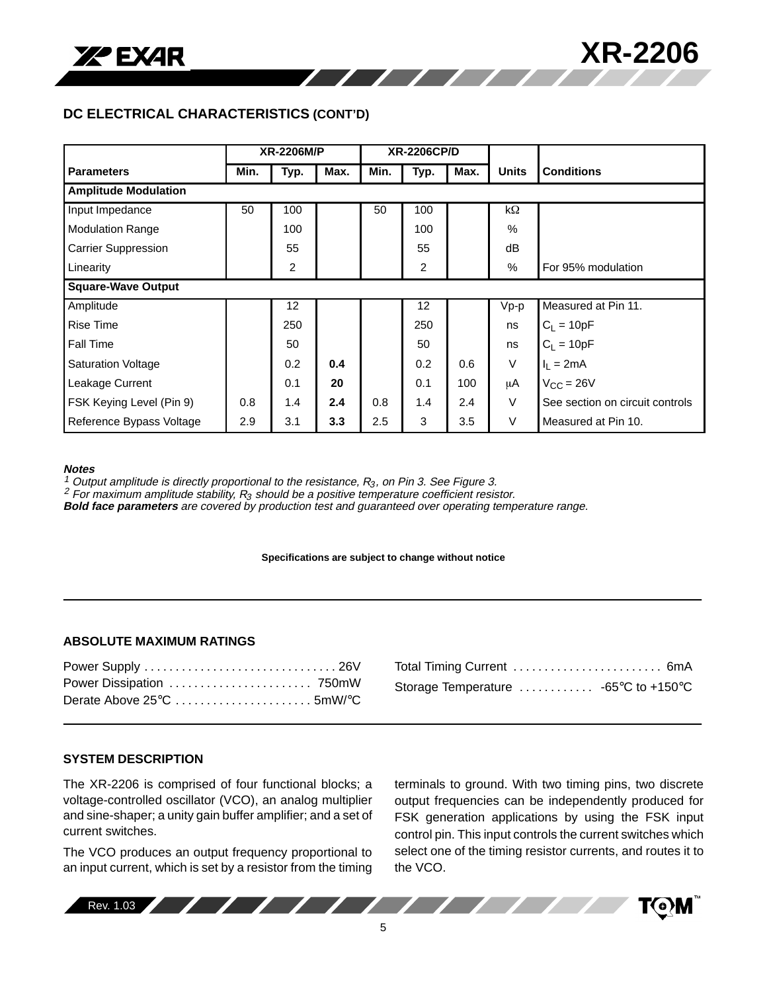

## **DC ELECTRICAL CHARACTERISTICS (CONT'D)**

|                             |      | <b>XR-2206M/P</b> |      | <b>XR-2206CP/D</b> |      |      |               |                                 |
|-----------------------------|------|-------------------|------|--------------------|------|------|---------------|---------------------------------|
| <b>Parameters</b>           | Min. | Typ.              | Max. | Min.               | Typ. | Max. | <b>Units</b>  | <b>Conditions</b>               |
| <b>Amplitude Modulation</b> |      |                   |      |                    |      |      |               |                                 |
| Input Impedance             | 50   | 100               |      | 50                 | 100  |      | kΩ            |                                 |
| <b>Modulation Range</b>     |      | 100               |      |                    | 100  |      | $\frac{0}{0}$ |                                 |
| <b>Carrier Suppression</b>  |      | 55                |      |                    | 55   |      | dB            |                                 |
| Linearity                   |      | $\overline{2}$    |      |                    | 2    |      | %             | For 95% modulation              |
| <b>Square-Wave Output</b>   |      |                   |      |                    |      |      |               |                                 |
| Amplitude                   |      | 12                |      |                    | 12   |      | $Vp-p$        | Measured at Pin 11.             |
| <b>Rise Time</b>            |      | 250               |      |                    | 250  |      | ns            | $C_L = 10pF$                    |
| <b>Fall Time</b>            |      | 50                |      |                    | 50   |      | ns            | $C_L = 10pF$                    |
| Saturation Voltage          |      | 0.2               | 0.4  |                    | 0.2  | 0.6  | $\vee$        | $I_1 = 2mA$                     |
| Leakage Current             |      | 0.1               | 20   |                    | 0.1  | 100  | μA            | $V_{CC} = 26V$                  |
| FSK Keying Level (Pin 9)    | 0.8  | 1.4               | 2.4  | 0.8                | 1.4  | 2.4  | V             | See section on circuit controls |
| Reference Bypass Voltage    | 2.9  | 3.1               | 3.3  | 2.5                | 3    | 3.5  | $\vee$        | Measured at Pin 10.             |

///////

#### **Notes**

<sup>1</sup> Output amplitude is directly proportional to the resistance,  $R_3$ , on Pin 3. See Figure 3.

<sup>2</sup> For maximum amplitude stability,  $R_3$  should be a positive temperature coefficient resistor.

**Bold face parameters** are covered by production test and guaranteed over operating temperature range.

#### **Specifications are subject to change without notice**

#### **ABSOLUTE MAXIMUM RATINGS**

| Total Timing Current  6mA            |  |
|--------------------------------------|--|
| Storage Temperature  -65°C to +150°C |  |

#### **SYSTEM DESCRIPTION**

The XR-2206 is comprised of four functional blocks; a voltage-controlled oscillator (VCO), an analog multiplier and sine-shaper; a unity gain buffer amplifier; and a set of current switches.

The VCO produces an output frequency proportional to an input current, which is set by a resistor from the timing terminals to ground. With two timing pins, two discrete output frequencies can be independently produced for FSK generation applications by using the FSK input control pin. This input controls the current switches which select one of the timing resistor currents, and routes it to the VCO.

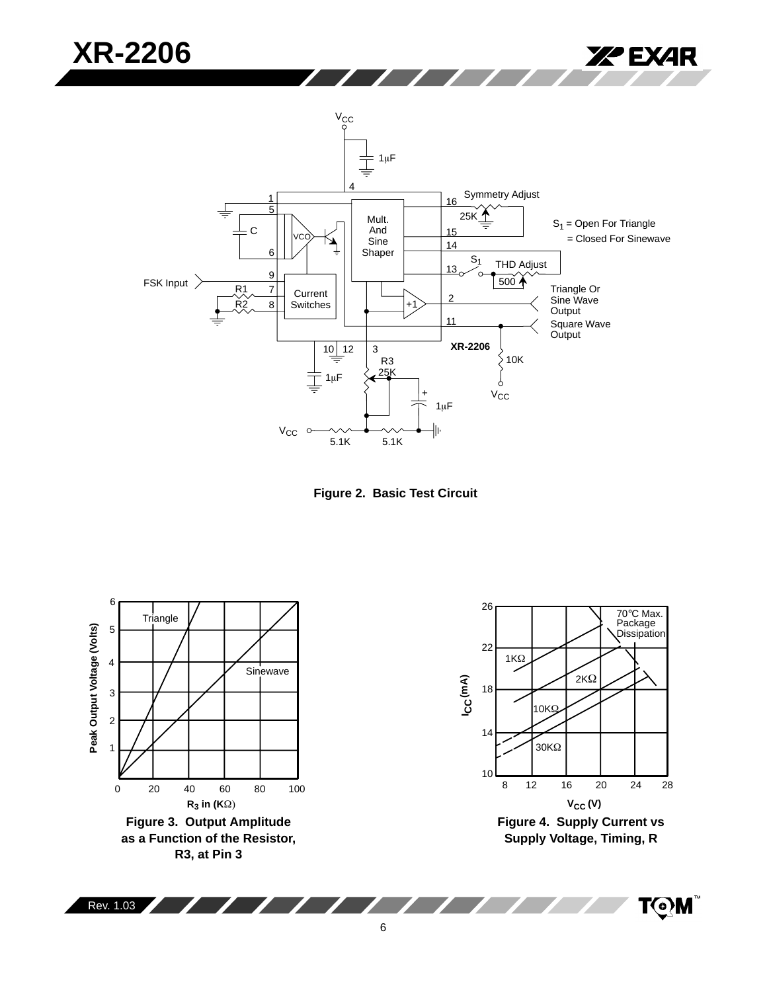



5.1K 5.1K



6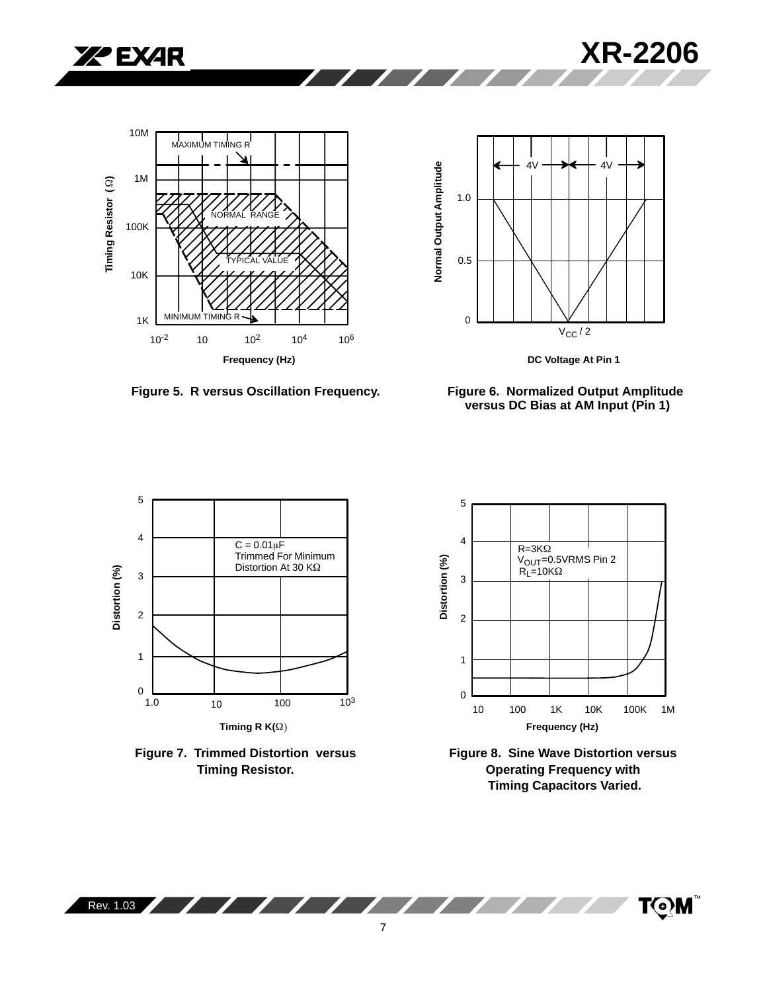







**Figure 5. R versus Oscillation Frequency.**

**Sold Street** 

 $\sim$   $\sim$   $\sim$   $\sim$ 









**Figure 8. Sine Wave Distortion versus Operating Frequency with Timing Capacitors Varied.**

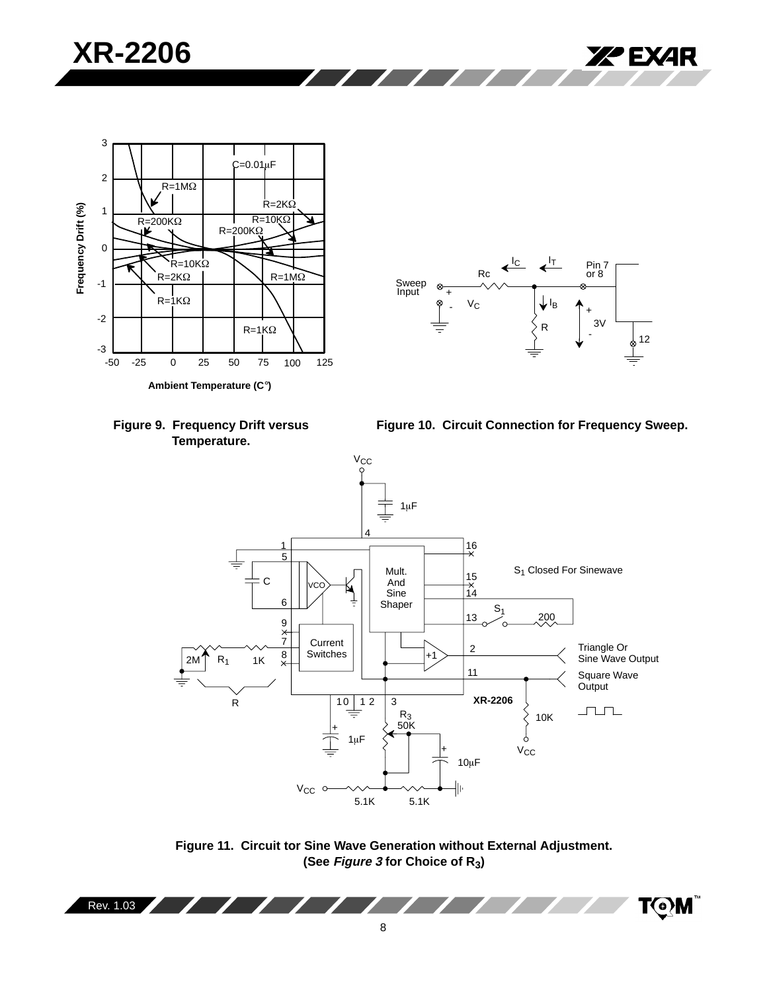



**Ambient Temperature (C**°**)**

**Figure 10. Circuit Connection for Frequency Sweep.**



**Figure 11. Circuit tor Sine Wave Generation without External Adjustment. (See Figure 3 for Choice of R3)**

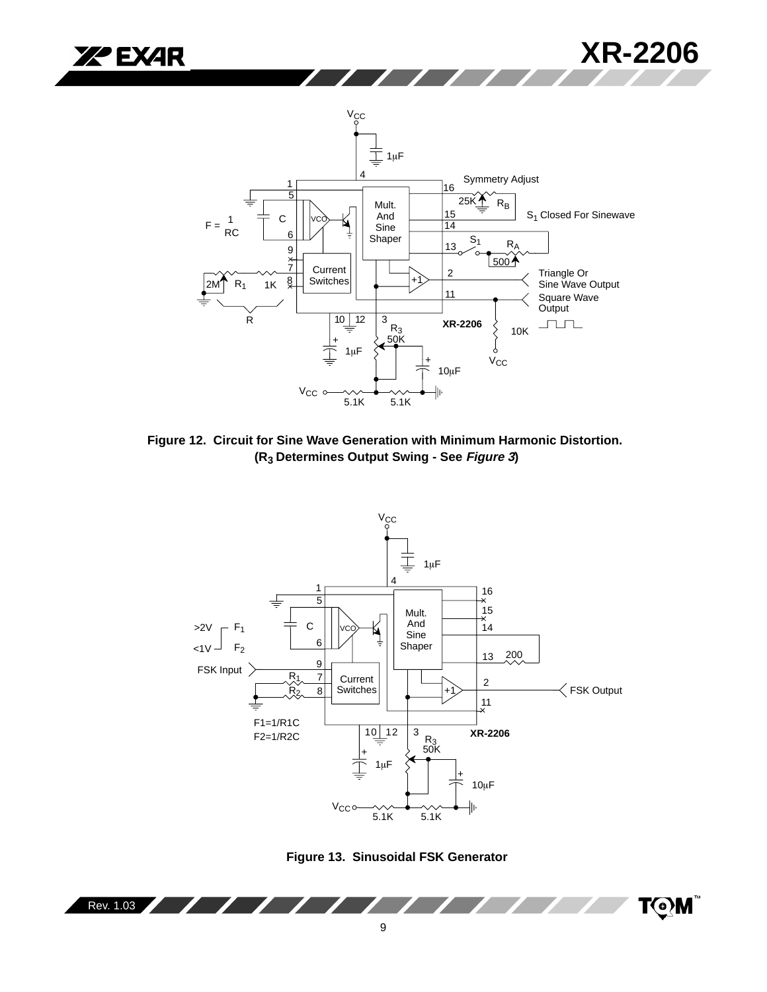



**Figure 12. Circuit for Sine Wave Generation with Minimum Harmonic Distortion. (R3 Determines Output Swing - See Figure 3)**



**Figure 13. Sinusoidal FSK Generator**

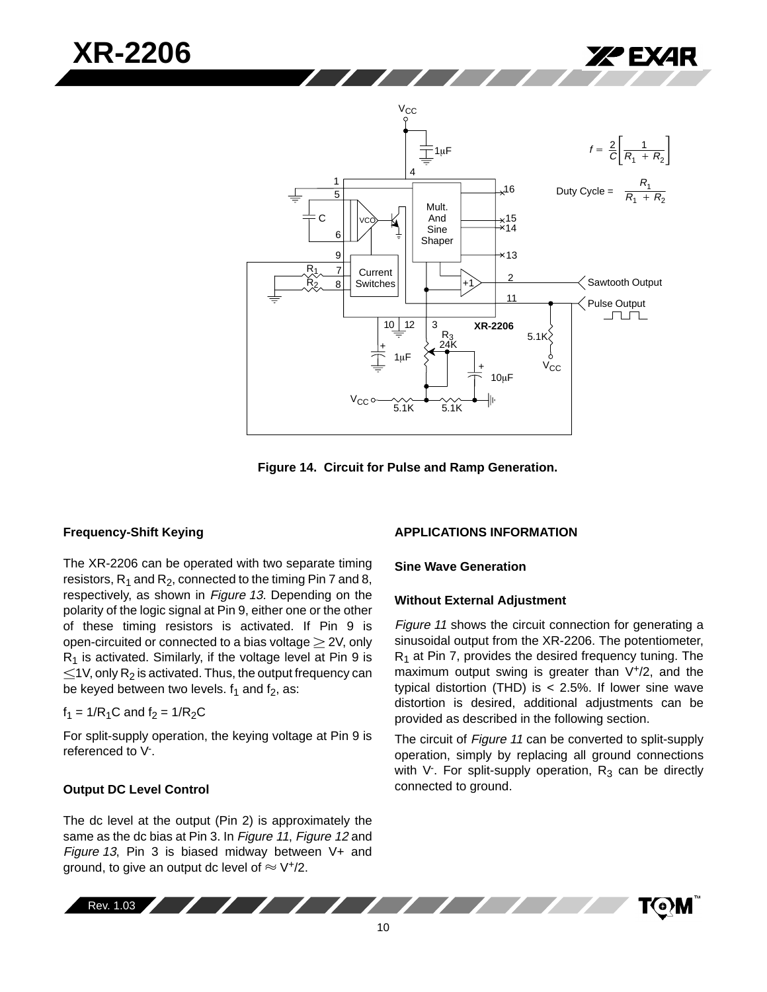

**Figure 14. Circuit for Pulse and Ramp Generation.**

#### **Frequency-Shift Keying**

**XR-2206**

The XR-2206 can be operated with two separate timing resistors,  $R_1$  and  $R_2$ , connected to the timing Pin 7 and 8, respectively, as shown in Figure 13. Depending on the polarity of the logic signal at Pin 9, either one or the other of these timing resistors is activated. If Pin 9 is open-circuited or connected to a bias voltage  $\geq$  2V, only  $R_1$  is activated. Similarly, if the voltage level at Pin 9 is  $\leq$ 1V, only R<sub>2</sub> is activated. Thus, the output frequency can be keyed between two levels.  $f_1$  and  $f_2$ , as:

$$
f_1 = 1/R_1C
$$
 and  $f_2 = 1/R_2C$ 

For split-supply operation, the keying voltage at Pin 9 is referenced to V<sup>-</sup>.

#### **Output DC Level Control**

The dc level at the output (Pin 2) is approximately the same as the dc bias at Pin 3. In Figure 11, Figure 12 and Figure 13, Pin 3 is biased midway between V+ and ground, to give an output dc level of  $\approx$  V<sup>+</sup>/2.

#### **APPLICATIONS INFORMATION**

#### **Sine Wave Generation**

#### **Without External Adjustment**

Figure 11 shows the circuit connection for generating a sinusoidal output from the XR-2206. The potentiometer,  $R_1$  at Pin 7, provides the desired frequency tuning. The maximum output swing is greater than V<sup>+</sup>/2, and the typical distortion (THD) is < 2.5%. If lower sine wave distortion is desired, additional adjustments can be provided as described in the following section.

The circuit of Figure 11 can be converted to split-supply operation, simply by replacing all ground connections with V<sup>-</sup>. For split-supply operation,  $R_3$  can be directly connected to ground.

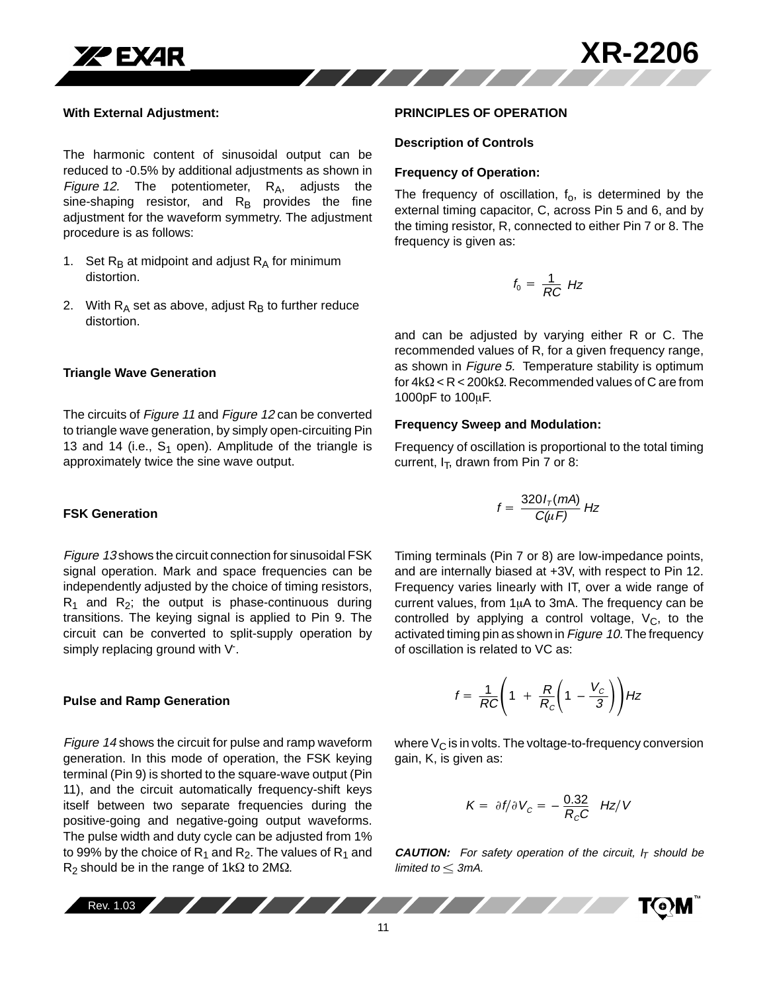

#### **With External Adjustment:**

The harmonic content of sinusoidal output can be reduced to -0.5% by additional adjustments as shown in Figure 12. The potentiometer,  $R_A$ , adjusts the sine-shaping resistor, and  $R_B$  provides the fine adjustment for the waveform symmetry. The adjustment procedure is as follows:

- 1. Set  $R_B$  at midpoint and adjust  $R_A$  for minimum distortion.
- 2. With  $R_A$  set as above, adjust  $R_B$  to further reduce distortion.

#### **Triangle Wave Generation**

The circuits of Figure 11 and Figure 12 can be converted to triangle wave generation, by simply open-circuiting Pin 13 and 14 (i.e.,  $S_1$  open). Amplitude of the triangle is approximately twice the sine wave output.

#### **FSK Generation**

Figure 13 shows the circuit connection for sinusoidal FSK signal operation. Mark and space frequencies can be independently adjusted by the choice of timing resistors,  $R_1$  and  $R_2$ ; the output is phase-continuous during transitions. The keying signal is applied to Pin 9. The circuit can be converted to split-supply operation by simply replacing ground with V<sup>-</sup>.

#### **Pulse and Ramp Generation**

Figure 14 shows the circuit for pulse and ramp waveform generation. In this mode of operation, the FSK keying terminal (Pin 9) is shorted to the square-wave output (Pin 11), and the circuit automatically frequency-shift keys itself between two separate frequencies during the positive-going and negative-going output waveforms. The pulse width and duty cycle can be adjusted from 1% to 99% by the choice of  $R_1$  and  $R_2$ . The values of  $R_1$  and  $R_2$  should be in the range of 1k $\Omega$  to 2M $\Omega$ .

#### **PRINCIPLES OF OPERATION**

#### **Description of Controls**

#### **Frequency of Operation:**

The frequency of oscillation,  $f_0$ , is determined by the external timing capacitor, C, across Pin 5 and 6, and by the timing resistor, R, connected to either Pin 7 or 8. The frequency is given as:

$$
f_0 = \frac{1}{RC} Hz
$$

and can be adjusted by varying either R or C. The recommended values of R, for a given frequency range, as shown in Figure 5. Temperature stability is optimum for  $4k\Omega < R < 200k\Omega$ . Recommended values of C are from 1000pF to  $100\mu$ F.

#### **Frequency Sweep and Modulation:**

Frequency of oscillation is proportional to the total timing current,  $I_T$ , drawn from Pin 7 or 8:

$$
f = \frac{320 I_{\tau}(mA)}{C(\mu F)} Hz
$$

Timing terminals (Pin 7 or 8) are low-impedance points, and are internally biased at +3V, with respect to Pin 12. Frequency varies linearly with IT, over a wide range of current values, from  $1\mu A$  to 3mA. The frequency can be controlled by applying a control voltage,  $V_c$ , to the activated timing pin as shown in Figure 10. The frequency of oscillation is related to VC as:

$$
f = \frac{1}{RC}\left(1 + \frac{R}{R_c}\left(1 - \frac{V_c}{3}\right)\right)Hz
$$

where  $V_{\rm C}$  is in volts. The voltage-to-frequency conversion gain, K, is given as:

$$
K = \partial f/\partial V_C = -\frac{0.32}{R_C C} Hz/V
$$

**CAUTION:** For safety operation of the circuit,  $I_T$  should be limited to  $\leq$  3mA.

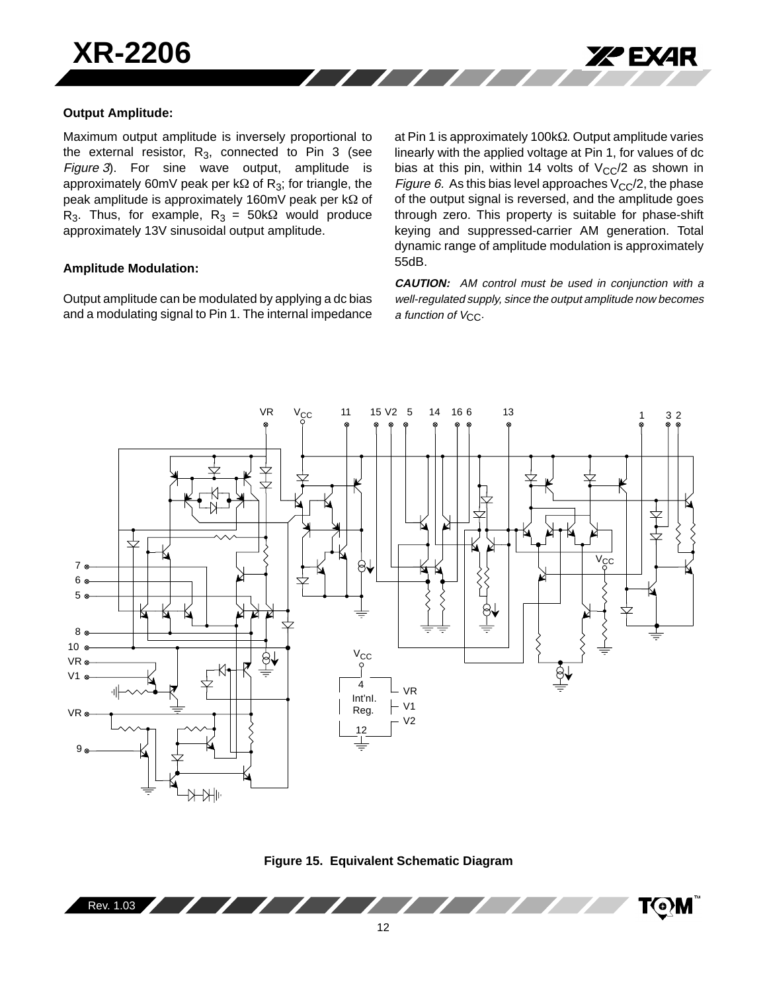

### **Output Amplitude:**

Maximum output amplitude is inversely proportional to the external resistor,  $R_3$ , connected to Pin 3 (see Figure 3). For sine wave output, amplitude is approximately 60mV peak per k $\Omega$  of R<sub>3</sub>; for triangle, the peak amplitude is approximately 160mV peak per  $k\Omega$  of R<sub>3</sub>. Thus, for example, R<sub>3</sub> = 50k $\Omega$  would produce approximately 13V sinusoidal output amplitude.

### **Amplitude Modulation:**

Output amplitude can be modulated by applying a dc bias and a modulating signal to Pin 1. The internal impedance

at Pin 1 is approximately  $100k\Omega$ . Output amplitude varies linearly with the applied voltage at Pin 1, for values of dc bias at this pin, within 14 volts of  $V_{CC}/2$  as shown in Figure 6. As this bias level approaches  $V_{CC}/2$ , the phase of the output signal is reversed, and the amplitude goes through zero. This property is suitable for phase-shift keying and suppressed-carrier AM generation. Total dynamic range of amplitude modulation is approximately 55dB.

**CAUTION:** AM control must be used in conjunction with a well-regulated supply, since the output amplitude now becomes a function of  $V_{\text{CC}}$ .





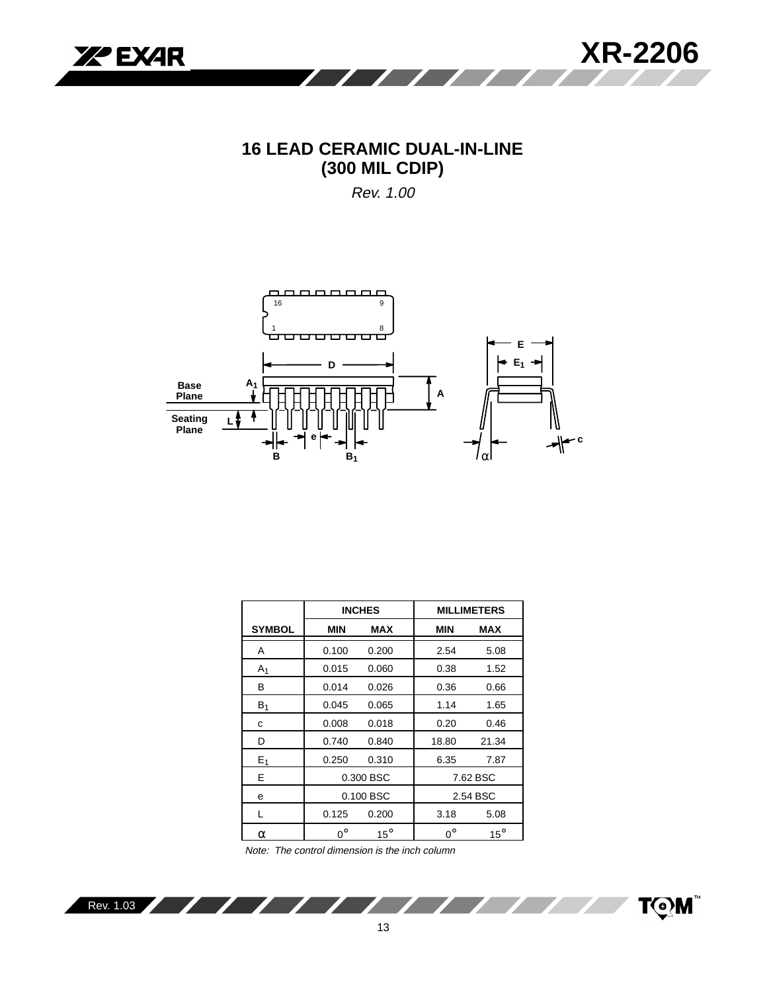

## **16 LEAD CERAMIC DUAL-IN-LINE (300 MIL CDIP)**

Rev. 1.00



|                |             | <b>INCHES</b> |             | <b>MILLIMETERS</b> |
|----------------|-------------|---------------|-------------|--------------------|
| <b>SYMBOL</b>  | <b>MIN</b>  | <b>MAX</b>    | <b>MIN</b>  | MAX                |
| A              | 0.100       | 0.200         | 2.54        | 5.08               |
| A <sub>1</sub> | 0.015       | 0.060         | 0.38        | 1.52               |
| B              | 0.014       | 0.026         | 0.36        | 0.66               |
| $B_1$          | 0.045       | 0.065         | 1.14        | 1.65               |
| С              | 0.008       | 0.018         | 0.20        | 0.46               |
| D              | 0.740       | 0.840         | 18.80       | 21.34              |
| $E_1$          | 0.250       | 0.310         | 6.35        | 7.87               |
| E              |             | 0.300 BSC     |             | 7.62 BSC           |
| e              |             | 0.100 BSC     |             | 2.54 BSC           |
| L              | 0.125       | 0.200         | 3.18        | 5.08               |
| α              | $0^{\circ}$ | $15^\circ$    | $0^{\circ}$ | $15^\circ$         |

Note: The control dimension is the inch column

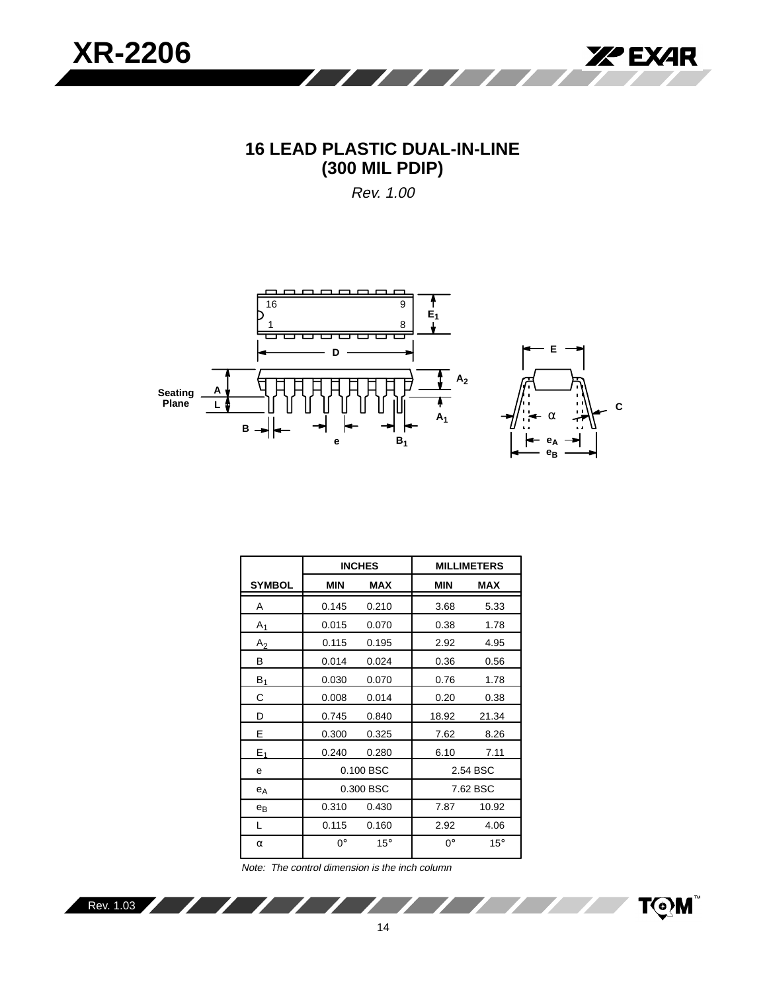

# **16 LEAD PLASTIC DUAL-IN-LINE (300 MIL PDIP)**

Rev. 1.00



**C**

|                |             | <b>INCHES</b> |            | <b>MILLIMETERS</b> |
|----------------|-------------|---------------|------------|--------------------|
| <b>SYMBOL</b>  | <b>MIN</b>  | <b>MAX</b>    | <b>MIN</b> | <b>MAX</b>         |
| A              | 0.145       | 0.210         | 3.68       | 5.33               |
| A <sub>1</sub> | 0.015       | 0.070         | 0.38       | 1.78               |
| $A_2$          | 0.115       | 0.195         | 2.92       | 4.95               |
| В              | 0.014       | 0.024         | 0.36       | 0.56               |
| B <sub>1</sub> | 0.030       | 0.070         | 0.76       | 1.78               |
| С              | 0.008       | 0.014         | 0.20       | 0.38               |
| D              | 0.745       | 0.840         | 18.92      | 21.34              |
| Е              | 0.300       | 0.325         | 7.62       | 8.26               |
| $E_1$          | 0.240       | 0.280         | 6.10       | 7.11               |
| e              |             | 0.100 BSC     |            | 2.54 BSC           |
| $e_A$          |             | 0.300 BSC     |            | 7.62 BSC           |
| $e_B$          | 0.310       | 0.430         | 7.87       | 10.92              |
| L              | 0.115       | 0.160         | 2.92       | 4.06               |
| $\alpha$       | $0^{\circ}$ | $15^{\circ}$  | 0°         | $15^{\circ}$       |

Note: The control dimension is the inch column

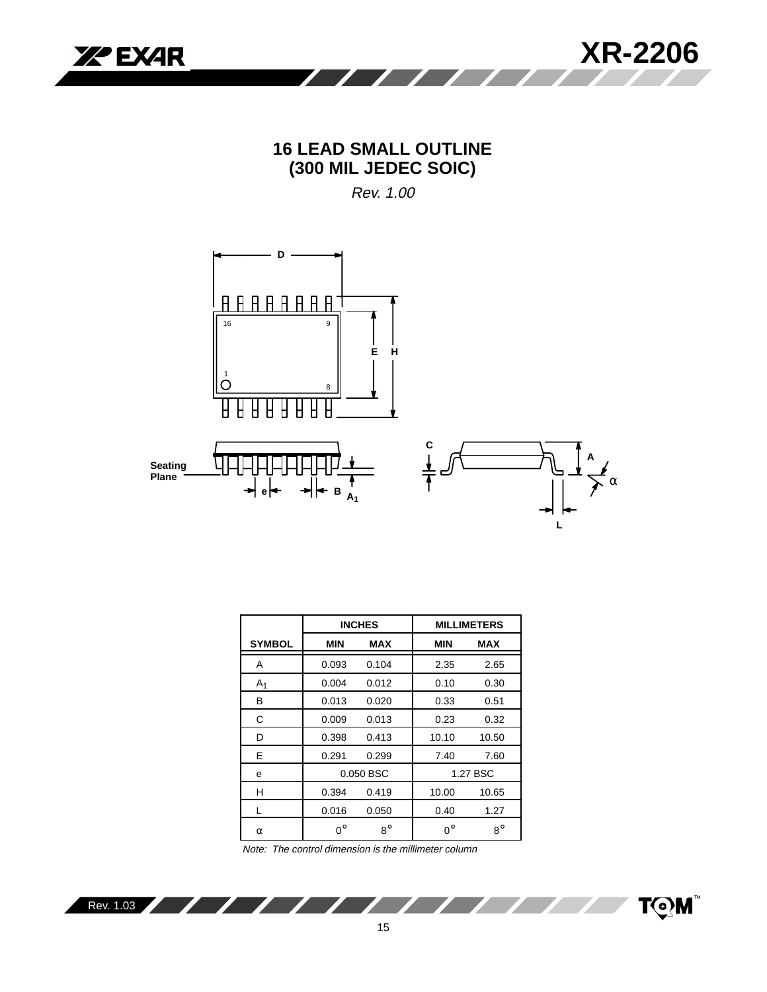

# **16 LEAD SMALL OUTLINE (300 MIL JEDEC SOIC)**

Rev. 1.00



|                |             | <b>INCHES</b> |             | <b>MILLIMETERS</b> |
|----------------|-------------|---------------|-------------|--------------------|
| <b>SYMBOL</b>  | MIN         | <b>MAX</b>    | <b>MIN</b>  | <b>MAX</b>         |
| A              | 0.093       | 0.104         | 2.35        | 2.65               |
| A <sub>1</sub> | 0.004       | 0.012         | 0.10        | 0.30               |
| В              | 0.013       | 0.020         | 0.33        | 0.51               |
| С              | 0.009       | 0.013         | 0.23        | 0.32               |
| D              | 0.398       | 0.413         | 10.10       | 10.50              |
| E              | 0.291       | 0.299         | 7.40        | 7.60               |
| e              |             | 0.050 BSC     |             | 1.27 BSC           |
| н              | 0.394       | 0.419         | 10.00       | 10.65              |
|                | 0.016       | 0.050         | 0.40        | 1.27               |
| $\alpha$       | $0^{\circ}$ | $8^\circ$     | $0^{\circ}$ | $8^{\circ}$        |

Note: The control dimension is the millimeter column